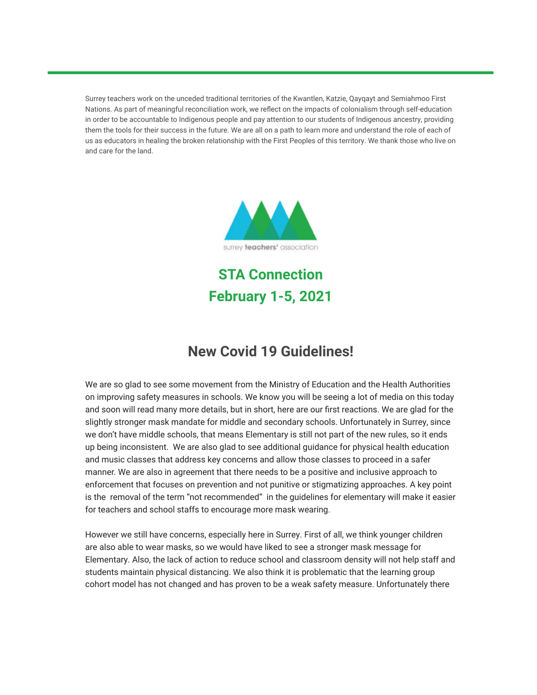Surrey teachers work on the unceded traditional territories of the Kwantlen, Katzie, Qayqayt and Semiahmoo First Nations. As part of meaningful reconciliation work, we reflect on the impacts of colonialism through self-education in order to be accountable to Indigenous people and pay attention to our students of Indigenous ancestry, providing them the tools for their success in the future. We are all on a path to learn more and understand the role of each of us as educators in healing the broken relationship with the First Peoples of this territory. We thank those who live on and care for the land.



**STA Connection February 1-5, 2021**

## **New Covid 19 Guidelines!**

We are so glad to see some movement from the Ministry of Education and the Health Authorities on improving safety measures in schools. We know you will be seeing a lot of media on this today and soon will read many more details, but in short, here are our first reactions. We are glad for the slightly stronger mask mandate for middle and secondary schools. Unfortunately in Surrey, since we don't have middle schools, that means Elementary is still not part of the new rules, so it ends up being inconsistent. We are also glad to see additional guidance for physical health education and music classes that address key concerns and allow those classes to proceed in a safer manner. We are also in agreement that there needs to be a positive and inclusive approach to enforcement that focuses on prevention and not punitive or stigmatizing approaches. A key point is the removal of the term "not recommended" in the guidelines for elementary will make it easier for teachers and school staffs to encourage more mask wearing.

However we still have concerns, especially here in Surrey. First of all, we think younger children are also able to wear masks, so we would have liked to see a stronger mask message for Elementary. Also, the lack of action to reduce school and classroom density will not help staff and students maintain physical distancing. We also think it is problematic that the learning group cohort model has not changed and has proven to be a weak safety measure. Unfortunately there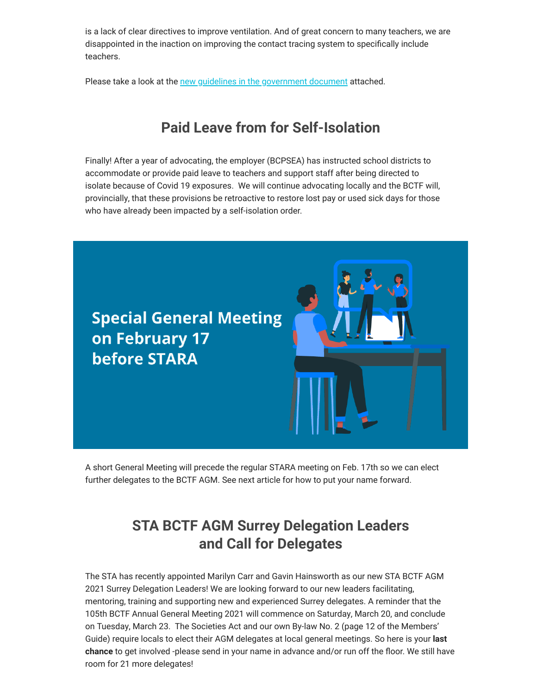is a lack of clear directives to improve ventilation. And of great concern to many teachers, we are disappointed in the inaction on improving the contact tracing system to specifically include teachers.

Please take a look at the [new guidelines in the government document](https://surreyteachers.us20.list-manage.com/track/click?u=37ec644ae87e34b54b3912660&id=06c3432217&e=7261da6bdb) attached.

# **Paid Leave from for Self-Isolation**

Finally! After a year of advocating, the employer (BCPSEA) has instructed school districts to accommodate or provide paid leave to teachers and support staff after being directed to isolate because of Covid 19 exposures. We will continue advocating locally and the BCTF will, provincially, that these provisions be retroactive to restore lost pay or used sick days for those who have already been impacted by a self-isolation order.



A short General Meeting will precede the regular STARA meeting on Feb. 17th so we can elect further delegates to the BCTF AGM. See next article for how to put your name forward.

# **STA BCTF AGM Surrey Delegation Leaders and Call for Delegates**

The STA has recently appointed Marilyn Carr and Gavin Hainsworth as our new STA BCTF AGM 2021 Surrey Delegation Leaders! We are looking forward to our new leaders facilitating, mentoring, training and supporting new and experienced Surrey delegates. A reminder that the 105th BCTF Annual General Meeting 2021 will commence on Saturday, March 20, and conclude on Tuesday, March 23. The Societies Act and our own By-law No. 2 (page 12 of the Members' Guide) require locals to elect their AGM delegates at local general meetings. So here is your **last chance** to get involved -please send in your name in advance and/or run off the floor. We still have room for 21 more delegates!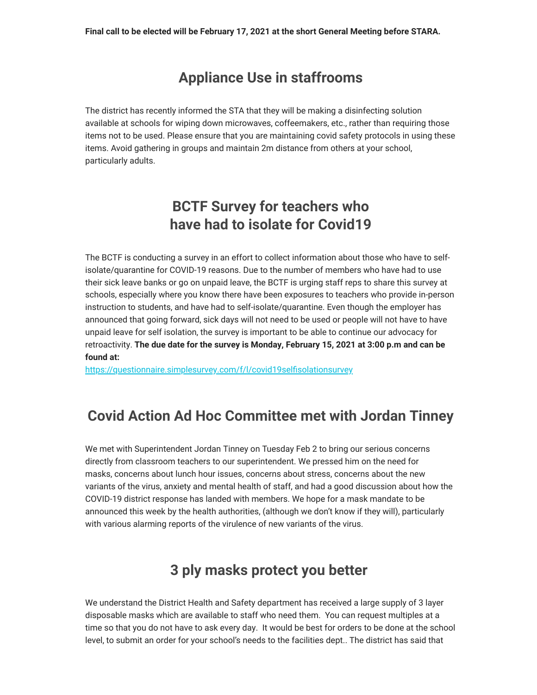## **Appliance Use in staffrooms**

The district has recently informed the STA that they will be making a disinfecting solution available at schools for wiping down microwaves, coffeemakers, etc., rather than requiring those items not to be used. Please ensure that you are maintaining covid safety protocols in using these items. Avoid gathering in groups and maintain 2m distance from others at your school, particularly adults.

# **BCTF Survey for teachers who have had to isolate for Covid19**

The BCTF is conducting a survey in an effort to collect information about those who have to selfisolate/quarantine for COVID-19 reasons. Due to the number of members who have had to use their sick leave banks or go on unpaid leave, the BCTF is urging staff reps to share this survey at schools, especially where you know there have been exposures to teachers who provide in-person instruction to students, and have had to self-isolate/quarantine. Even though the employer has announced that going forward, sick days will not need to be used or people will not have to have unpaid leave for self isolation, the survey is important to be able to continue our advocacy for retroactivity. **The due date for the survey is Monday, February 15, 2021 at 3:00 p.m and can be found at:** 

[https://questionnaire.simplesurvey.com/f/l/covid19selfisolationsurvey](https://surreyteachers.us20.list-manage.com/track/click?u=37ec644ae87e34b54b3912660&id=28685ee587&e=7261da6bdb)

# **Covid Action Ad Hoc Committee met with Jordan Tinney**

We met with Superintendent Jordan Tinney on Tuesday Feb 2 to bring our serious concerns directly from classroom teachers to our superintendent. We pressed him on the need for masks, concerns about lunch hour issues, concerns about stress, concerns about the new variants of the virus, anxiety and mental health of staff, and had a good discussion about how the COVID-19 district response has landed with members. We hope for a mask mandate to be announced this week by the health authorities, (although we don't know if they will), particularly with various alarming reports of the virulence of new variants of the virus.

# **3 ply masks protect you better**

We understand the District Health and Safety department has received a large supply of 3 layer disposable masks which are available to staff who need them. You can request multiples at a time so that you do not have to ask every day. It would be best for orders to be done at the school level, to submit an order for your school's needs to the facilities dept.. The district has said that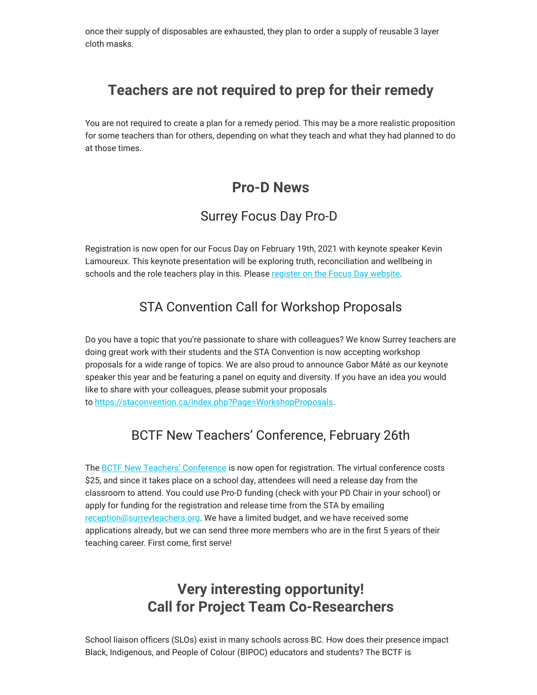once their supply of disposables are exhausted, they plan to order a supply of reusable 3 layer cloth masks.

#### **Teachers are not required to prep for their remedy**

You are not required to create a plan for a remedy period. This may be a more realistic proposition for some teachers than for others, depending on what they teach and what they had planned to do at those times.

#### **Pro-D News**

#### Surrey Focus Day Pro-D

Registration is now open for our Focus Day on February 19th, 2021 with keynote speaker Kevin Lamoureux. This keynote presentation will be exploring truth, reconciliation and wellbeing in schools and the role teachers play in this. Please [register on the Focus Day website](https://surreyteachers.us20.list-manage.com/track/click?u=37ec644ae87e34b54b3912660&id=31a5d021ee&e=7261da6bdb).

#### STA Convention Call for Workshop Proposals

Do you have a topic that you're passionate to share with colleagues? We know Surrey teachers are doing great work with their students and the STA Convention is now accepting workshop proposals for a wide range of topics. We are also proud to announce Gabor Mâté as our keynote speaker this year and be featuring a panel on equity and diversity. If you have an idea you would like to share with your colleagues, please submit your proposals to [https://staconvention.ca/index.php?Page=WorkshopProposals.](https://surreyteachers.us20.list-manage.com/track/click?u=37ec644ae87e34b54b3912660&id=d12b53c407&e=7261da6bdb)

#### BCTF New Teachers' Conference, February 26th

The [BCTF New Teachers' Conference](https://surreyteachers.us20.list-manage.com/track/click?u=37ec644ae87e34b54b3912660&id=6bc08b64f1&e=7261da6bdb) is now open for registration. The virtual conference costs \$25, and since it takes place on a school day, attendees will need a release day from the classroom to attend. You could use Pro-D funding (check with your PD Chair in your school) or apply for funding for the registration and release time from the STA by emailing [reception@surreyteachers.org.](mailto:reception@surreyteachers.org) We have a limited budget, and we have received some applications already, but we can send three more members who are in the first 5 years of their teaching career. First come, first serve!

# **Very interesting opportunity! Call for Project Team Co-Researchers**

School liaison officers (SLOs) exist in many schools across BC. How does their presence impact Black, Indigenous, and People of Colour (BIPOC) educators and students? The BCTF is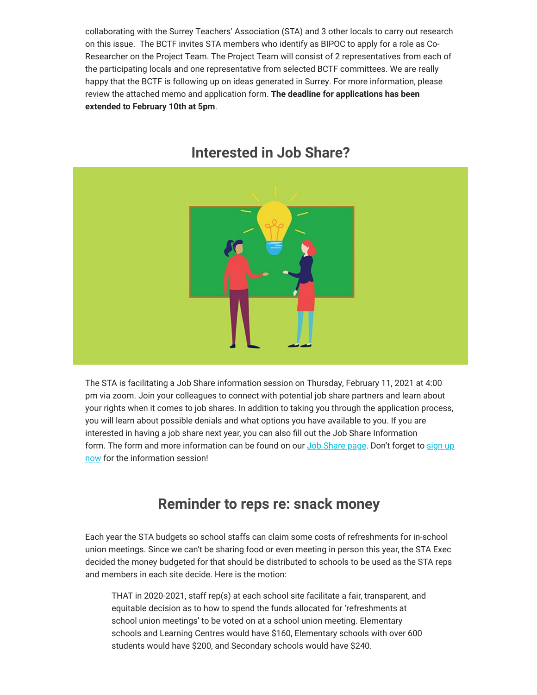collaborating with the Surrey Teachers' Association (STA) and 3 other locals to carry out research on this issue. The BCTF invites STA members who identify as BIPOC to apply for a role as Co-Researcher on the Project Team. The Project Team will consist of 2 representatives from each of the participating locals and one representative from selected BCTF committees. We are really happy that the BCTF is following up on ideas generated in Surrey. For more information, please review the attached memo and application form. **The deadline for applications has been extended to February 10th at 5pm**.



#### **Interested in Job Share?**

The STA is facilitating a Job Share information session on Thursday, February 11, 2021 at 4:00 pm via zoom. Join your colleagues to connect with potential job share partners and learn about your rights when it comes to job shares. In addition to taking you through the application process, you will learn about possible denials and what options you have available to you. If you are interested in having a job share next year, you can also fill out the Job Share Information [form. The form and more information can be found on our](https://surreyteachers.us20.list-manage.com/track/click?u=37ec644ae87e34b54b3912660&id=e4352f68a3&e=7261da6bdb) [Job Share page](https://surreyteachers.us20.list-manage.com/track/click?u=37ec644ae87e34b54b3912660&id=0a5dab11f2&e=7261da6bdb)[. Don't forget to sign up](https://surreyteachers.us20.list-manage.com/track/click?u=37ec644ae87e34b54b3912660&id=e4352f68a3&e=7261da6bdb) now for the information session!

## **Reminder to reps re: snack money**

Each year the STA budgets so school staffs can claim some costs of refreshments for in-school union meetings. Since we can't be sharing food or even meeting in person this year, the STA Exec decided the money budgeted for that should be distributed to schools to be used as the STA reps and members in each site decide. Here is the motion:

THAT in 2020-2021, staff rep(s) at each school site facilitate a fair, transparent, and equitable decision as to how to spend the funds allocated for 'refreshments at school union meetings' to be voted on at a school union meeting. Elementary schools and Learning Centres would have \$160, Elementary schools with over 600 students would have \$200, and Secondary schools would have \$240.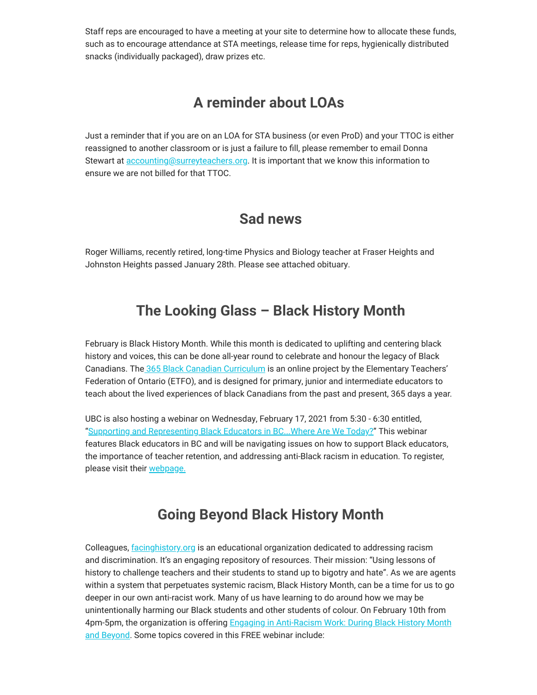Staff reps are encouraged to have a meeting at your site to determine how to allocate these funds, such as to encourage attendance at STA meetings, release time for reps, hygienically distributed snacks (individually packaged), draw prizes etc.

#### **A reminder about LOAs**

Just a reminder that if you are on an LOA for STA business (or even ProD) and your TTOC is either reassigned to another classroom or is just a failure to fill, please remember to email Donna Stewart at **accounting@surreyteachers.org**. It is important that we know this information to ensure we are not billed for that TTOC.

## **Sad news**

Roger Williams, recently retired, long-time Physics and Biology teacher at Fraser Heights and Johnston Heights passed January 28th. Please see attached obituary.

#### **The Looking Glass – Black History Month**

February is Black History Month. While this month is dedicated to uplifting and centering black history and voices, this can be done all-year round to celebrate and honour the legacy of Black Canadians. The [365 Black Canadian Curriculum](https://surreyteachers.us20.list-manage.com/track/click?u=37ec644ae87e34b54b3912660&id=c3407b969a&e=7261da6bdb) is an online project by the Elementary Teachers' Federation of Ontario (ETFO), and is designed for primary, junior and intermediate educators to teach about the lived experiences of black Canadians from the past and present, 365 days a year.

UBC is also hosting a webinar on Wednesday, February 17, 2021 from 5:30 - 6:30 entitled, "[Supporting and Representing Black Educators in BC...Where Are We Today?"](https://surreyteachers.us20.list-manage.com/track/click?u=37ec644ae87e34b54b3912660&id=36dbd1ebed&e=7261da6bdb) This webinar features Black educators in BC and will be navigating issues on how to support Black educators, the importance of teacher retention, and addressing anti-Black racism in education. To register, please visit their [webpage.](https://surreyteachers.us20.list-manage.com/track/click?u=37ec644ae87e34b54b3912660&id=1da9c07881&e=7261da6bdb)

## **Going Beyond Black History Month**

Colleagues, <u>facinghistory.org</u> is an educational organization dedicated to addressing racism and discrimination. It's an engaging repository of resources. Their mission: "Using lessons of history to challenge teachers and their students to stand up to bigotry and hate". As we are agents within a system that perpetuates systemic racism, Black History Month, can be a time for us to go deeper in our own anti-racist work. Many of us have learning to do around how we may be unintentionally harming our Black students and other students of colour. On February 10th from [4pm-5pm, the organization is offering Engaging in Anti-Racism Work: During Black History Month](https://surreyteachers.us20.list-manage.com/track/click?u=37ec644ae87e34b54b3912660&id=1c2ba5860a&e=7261da6bdb) and Beyond. Some topics covered in this FREE webinar include: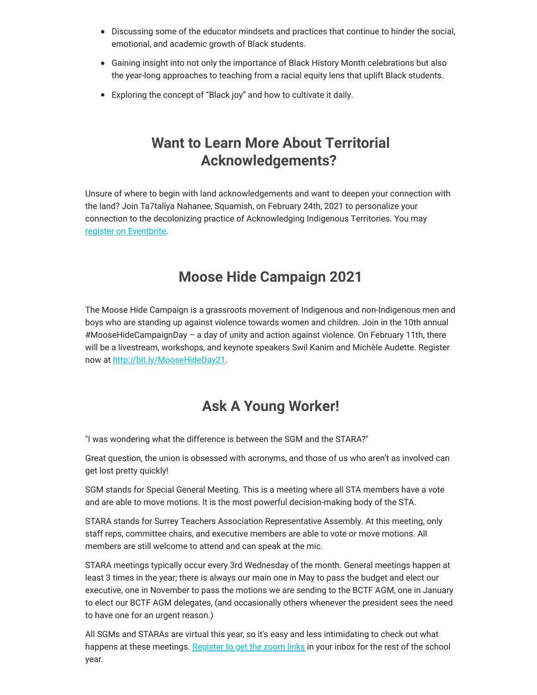- Discussing some of the educator mindsets and practices that continue to hinder the social, emotional, and academic growth of Black students.
- Gaining insight into not only the importance of Black History Month celebrations but also the year-long approaches to teaching from a racial equity lens that uplift Black students.
- Exploring the concept of "Black joy" and how to cultivate it daily.

# **Want to Learn More About Territorial Acknowledgements?**

Unsure of where to begin with land acknowledgements and want to deepen your connection with the land? Join Ta7talíya Nahanee, Squamish, on February 24th, 2021 to personalize your connection to the decolonizing practice of Acknowledging Indigenous Territories. You may [register on Eventbrite.](https://surreyteachers.us20.list-manage.com/track/click?u=37ec644ae87e34b54b3912660&id=1a45aba987&e=7261da6bdb)

# **Moose Hide Campaign 2021**

The Moose Hide Campaign is a grassroots movement of Indigenous and non-Indigenous men and boys who are standing up against violence towards women and children. Join in the 10th annual #MooseHideCampaignDay – a day of unity and action against violence. On February 11th, there will be a livestream, workshops, and keynote speakers Swil Kanim and Michèle Audette. Register now at [http://bit.ly/MooseHideDay21](https://surreyteachers.us20.list-manage.com/track/click?u=37ec644ae87e34b54b3912660&id=32f495ca48&e=7261da6bdb).

# **Ask A Young Worker!**

"I was wondering what the difference is between the SGM and the STARA?"

Great question, the union is obsessed with acronyms, and those of us who aren't as involved can get lost pretty quickly!

SGM stands for Special General Meeting. This is a meeting where all STA members have a vote and are able to move motions. It is the most powerful decision-making body of the STA.

STARA stands for Surrey Teachers Association Representative Assembly. At this meeting, only staff reps, committee chairs, and executive members are able to vote or move motions. All members are still welcome to attend and can speak at the mic.

STARA meetings typically occur every 3rd Wednesday of the month. General meetings happen at least 3 times in the year; there is always our main one in May to pass the budget and elect our executive, one in November to pass the motions we are sending to the BCTF AGM, one in January to elect our BCTF AGM delegates, (and occasionally others whenever the president sees the need to have one for an urgent reason.)

All SGMs and STARAs are virtual this year, so it's easy and less intimidating to check out what happens at these meetings. [Register to get the zoom links](https://surreyteachers.us20.list-manage.com/track/click?u=37ec644ae87e34b54b3912660&id=9b327cdd2e&e=7261da6bdb) in your inbox for the rest of the school year.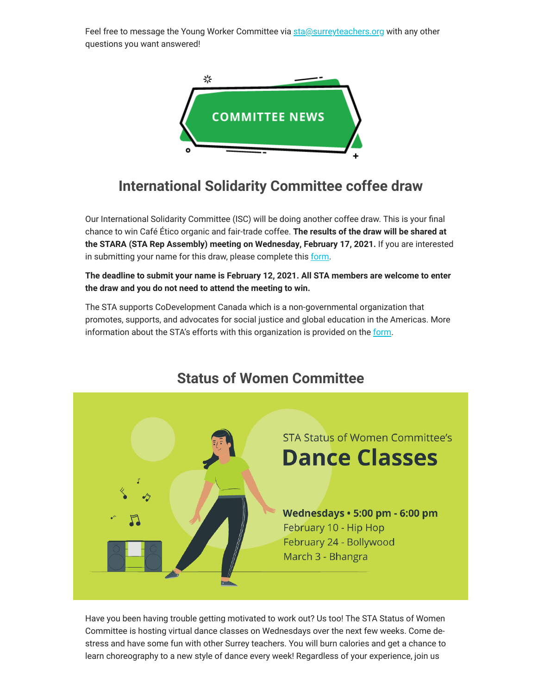Feel free to message the Young Worker Committee via [sta@surreyteachers.org](mailto:sta@surreyteachers.org) with any other questions you want answered!



# **International Solidarity Committee coffee draw**

Our International Solidarity Committee (ISC) will be doing another coffee draw. This is your final chance to win Café Ético organic and fair-trade coffee. **The results of the draw will be shared at the STARA (STA Rep Assembly) meeting on Wednesday, February 17, 2021.** If you are interested in submitting your name for this draw, please complete this [form.](https://surreyteachers.us20.list-manage.com/track/click?u=37ec644ae87e34b54b3912660&id=aebbd3cc3b&e=7261da6bdb)

**The deadline to submit your name is February 12, 2021. All STA members are welcome to enter the draw and you do not need to attend the meeting to win.** 

The STA supports CoDevelopment Canada which is a non-governmental organization that promotes, supports, and advocates for social justice and global education in the Americas. More in[form](https://surreyteachers.us20.list-manage.com/track/click?u=37ec644ae87e34b54b3912660&id=796f89c709&e=7261da6bdb)ation about the STA's efforts with this organization is provided on the form.



## **Status of Women Committee**

Have you been having trouble getting motivated to work out? Us too! The STA Status of Women Committee is hosting virtual dance classes on Wednesdays over the next few weeks. Come destress and have some fun with other Surrey teachers. You will burn calories and get a chance to learn choreography to a new style of dance every week! Regardless of your experience, join us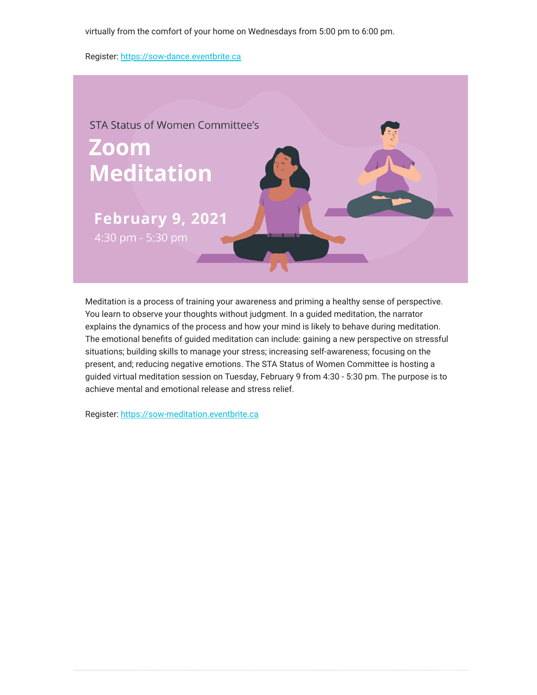virtually from the comfort of your home on Wednesdays from 5:00 pm to 6:00 pm.

Register: [https://sow-dance.eventbrite.ca](https://surreyteachers.us20.list-manage.com/track/click?u=37ec644ae87e34b54b3912660&id=51b087eca4&e=7261da6bdb)



Meditation is a process of training your awareness and priming a healthy sense of perspective. You learn to observe your thoughts without judgment. In a guided meditation, the narrator explains the dynamics of the process and how your mind is likely to behave during meditation. The emotional benefits of guided meditation can include: gaining a new perspective on stressful situations; building skills to manage your stress; increasing self-awareness; focusing on the present, and; reducing negative emotions. The STA Status of Women Committee is hosting a guided virtual meditation session on Tuesday, February 9 from 4:30 - 5:30 pm. The purpose is to achieve mental and emotional release and stress relief.

Register: [https://sow-meditation.eventbrite.ca](https://surreyteachers.us20.list-manage.com/track/click?u=37ec644ae87e34b54b3912660&id=b070eb24d6&e=7261da6bdb)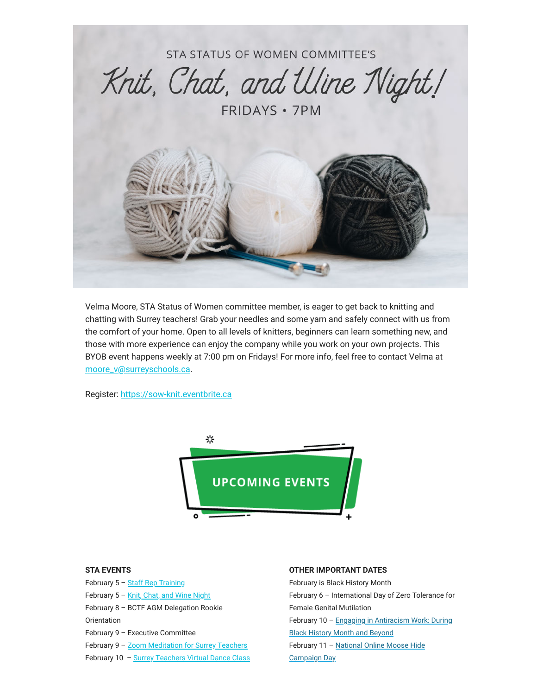

Velma Moore, STA Status of Women committee member, is eager to get back to knitting and chatting with Surrey teachers! Grab your needles and some yarn and safely connect with us from the comfort of your home. Open to all levels of knitters, beginners can learn something new, and those with more experience can enjoy the company while you work on your own projects. This BYOB event happens weekly at 7:00 pm on Fridays! For more info, feel free to contact Velma at [moore\\_v@surreyschools.ca](mailto:moore_v@surreyschools.ca).

Register: [https://sow-knit.eventbrite.ca](https://surreyteachers.us20.list-manage.com/track/click?u=37ec644ae87e34b54b3912660&id=7a32335cbf&e=7261da6bdb)



#### **STA EVENTS**

February 5 - [Staff Rep Training](https://surreyteachers.us20.list-manage.com/track/click?u=37ec644ae87e34b54b3912660&id=9e2e0abe25&e=7261da6bdb) February 5 - [Knit, Chat, and Wine Night](https://surreyteachers.us20.list-manage.com/track/click?u=37ec644ae87e34b54b3912660&id=853f1c2a73&e=7261da6bdb) February 8 – BCTF AGM Delegation Rookie Orientation February 9 – Executive Committee February 9 - [Zoom Meditation for Surrey Teachers](https://surreyteachers.us20.list-manage.com/track/click?u=37ec644ae87e34b54b3912660&id=5ffb69525e&e=7261da6bdb) February 10 - [Surrey Teachers Virtual Dance Class](https://surreyteachers.us20.list-manage.com/track/click?u=37ec644ae87e34b54b3912660&id=93c47b00b1&e=7261da6bdb)

#### **OTHER IMPORTANT DATES**

February is Black History Month February 6 – International Day of Zero Tolerance for Female Genital Mutilation [February 10 – Engaging in Antiracism Work: During](https://surreyteachers.us20.list-manage.com/track/click?u=37ec644ae87e34b54b3912660&id=6f68bcd613&e=7261da6bdb) Black History Month and Beyond [February 11 – National Online Moose Hide](https://surreyteachers.us20.list-manage.com/track/click?u=37ec644ae87e34b54b3912660&id=9555068d79&e=7261da6bdb) Campaign Day